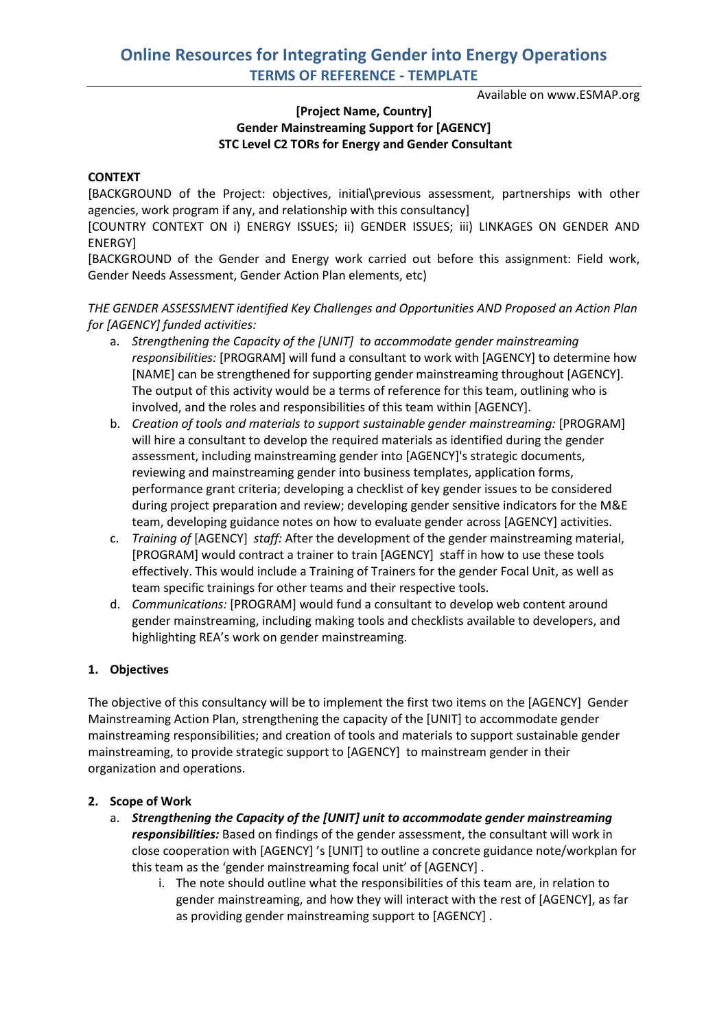Available on www.ESMAP.org

## **[Project Name, Country] Gender Mainstreaming Support for [AGENCY] STC Level C2 TORs for Energy and Gender Consultant**

### **CONTEXT**

[BACKGROUND of the Project: objectives, initial\previous assessment, partnerships with other agencies, work program if any, and relationship with this consultancy]

[COUNTRY CONTEXT ON i) ENERGY ISSUES; ii) GENDER ISSUES; iii) LINKAGES ON GENDER AND ENERGY]

[BACKGROUND of the Gender and Energy work carried out before this assignment: Field work, Gender Needs Assessment, Gender Action Plan elements, etc)

*THE GENDER ASSESSMENT identified Key Challenges and Opportunities AND Proposed an Action Plan for [AGENCY] funded activities:* 

- a. *Strengthening the Capacity of the [UNIT] to accommodate gender mainstreaming responsibilities:* [PROGRAM] will fund a consultant to work with [AGENCY] to determine how [NAME] can be strengthened for supporting gender mainstreaming throughout [AGENCY]. The output of this activity would be a terms of reference for this team, outlining who is involved, and the roles and responsibilities of this team within [AGENCY].
- b. *Creation of tools and materials to support sustainable gender mainstreaming:* [PROGRAM] will hire a consultant to develop the required materials as identified during the gender assessment, including mainstreaming gender into [AGENCY]'s strategic documents, reviewing and mainstreaming gender into business templates, application forms, performance grant criteria; developing a checklist of key gender issues to be considered during project preparation and review; developing gender sensitive indicators for the M&E team, developing guidance notes on how to evaluate gender across [AGENCY] activities.
- c. *Training of* [AGENCY] *staff:* After the development of the gender mainstreaming material, [PROGRAM] would contract a trainer to train [AGENCY] staff in how to use these tools effectively. This would include a Training of Trainers for the gender Focal Unit, as well as team specific trainings for other teams and their respective tools.
- d. *Communications:* [PROGRAM] would fund a consultant to develop web content around gender mainstreaming, including making tools and checklists available to developers, and highlighting REA's work on gender mainstreaming.

#### **1. Objectives**

The objective of this consultancy will be to implement the first two items on the [AGENCY] Gender Mainstreaming Action Plan, strengthening the capacity of the [UNIT] to accommodate gender mainstreaming responsibilities; and creation of tools and materials to support sustainable gender mainstreaming, to provide strategic support to [AGENCY] to mainstream gender in their organization and operations.

#### **2. Scope of Work**

- a. *Strengthening the Capacity of the [UNIT] unit to accommodate gender mainstreaming responsibilities:* Based on findings of the gender assessment, the consultant will work in close cooperation with [AGENCY] 's [UNIT] to outline a concrete guidance note/workplan for this team as the 'gender mainstreaming focal unit' of [AGENCY] .
	- i. The note should outline what the responsibilities of this team are, in relation to gender mainstreaming, and how they will interact with the rest of [AGENCY], as far as providing gender mainstreaming support to [AGENCY] .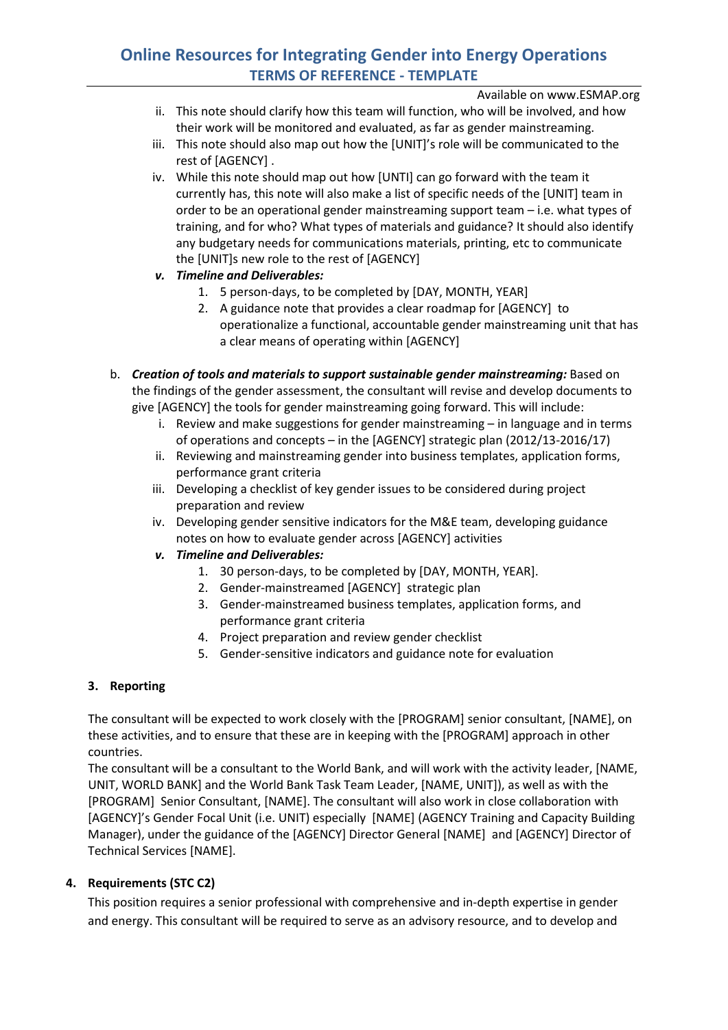## **Online Resources for Integrating Gender into Energy Operations TERMS OF REFERENCE - TEMPLATE**

Available on www.ESMAP.org

- ii. This note should clarify how this team will function, who will be involved, and how their work will be monitored and evaluated, as far as gender mainstreaming.
- iii. This note should also map out how the [UNIT]'s role will be communicated to the rest of [AGENCY] .
- iv. While this note should map out how [UNTI] can go forward with the team it currently has, this note will also make a list of specific needs of the [UNIT] team in order to be an operational gender mainstreaming support team – i.e. what types of training, and for who? What types of materials and guidance? It should also identify any budgetary needs for communications materials, printing, etc to communicate the [UNIT]s new role to the rest of [AGENCY]
- *v. Timeline and Deliverables:*
	- 1. 5 person-days, to be completed by [DAY, MONTH, YEAR]
	- 2. A guidance note that provides a clear roadmap for [AGENCY] to operationalize a functional, accountable gender mainstreaming unit that has a clear means of operating within [AGENCY]
- b. *Creation of tools and materials to support sustainable gender mainstreaming:* Based on the findings of the gender assessment, the consultant will revise and develop documents to give [AGENCY] the tools for gender mainstreaming going forward. This will include:
	- i. Review and make suggestions for gender mainstreaming in language and in terms of operations and concepts – in the [AGENCY] strategic plan (2012/13-2016/17)
	- ii. Reviewing and mainstreaming gender into business templates, application forms, performance grant criteria
	- iii. Developing a checklist of key gender issues to be considered during project preparation and review
	- iv. Developing gender sensitive indicators for the M&E team, developing guidance notes on how to evaluate gender across [AGENCY] activities
	- *v. Timeline and Deliverables:*
		- 1. 30 person-days, to be completed by [DAY, MONTH, YEAR].
		- 2. Gender-mainstreamed [AGENCY] strategic plan
		- 3. Gender-mainstreamed business templates, application forms, and performance grant criteria
		- 4. Project preparation and review gender checklist
		- 5. Gender-sensitive indicators and guidance note for evaluation

## **3. Reporting**

The consultant will be expected to work closely with the [PROGRAM] senior consultant, [NAME], on these activities, and to ensure that these are in keeping with the [PROGRAM] approach in other countries.

The consultant will be a consultant to the World Bank, and will work with the activity leader, [NAME, UNIT, WORLD BANK] and the World Bank Task Team Leader, [NAME, UNIT]), as well as with the [PROGRAM] Senior Consultant, [NAME]. The consultant will also work in close collaboration with [AGENCY]'s Gender Focal Unit (i.e. UNIT) especially [NAME] (AGENCY Training and Capacity Building Manager), under the guidance of the [AGENCY] Director General [NAME] and [AGENCY] Director of Technical Services [NAME].

## **4. Requirements (STC C2)**

This position requires a senior professional with comprehensive and in-depth expertise in gender and energy. This consultant will be required to serve as an advisory resource, and to develop and